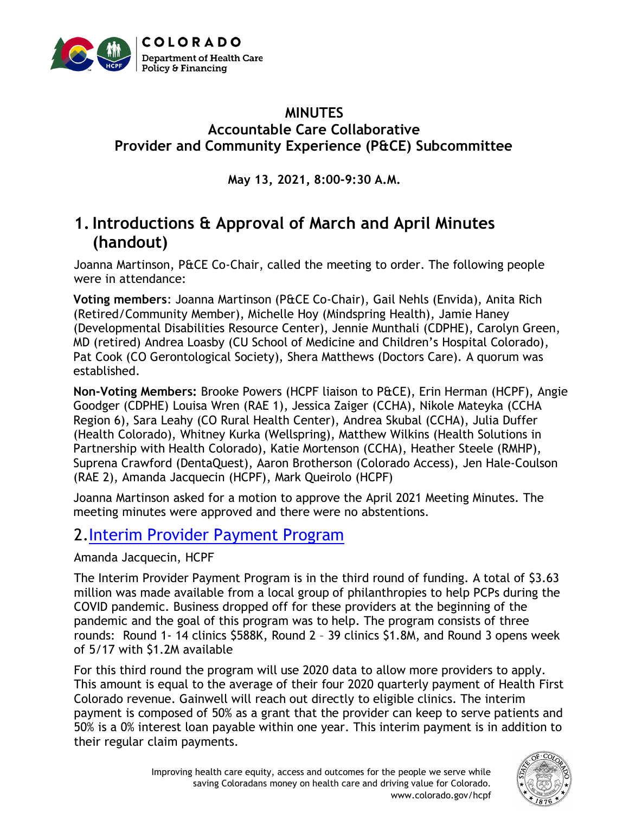

#### **MINUTES Accountable Care Collaborative Provider and Community Experience (P&CE) Subcommittee**

**May 13, 2021, 8:00-9:30 A.M.**

# **1.Introductions & Approval of March and April Minutes (handout)**

Joanna Martinson, P&CE Co-Chair, called the meeting to order. The following people were in attendance:

**Voting members**: Joanna Martinson (P&CE Co-Chair), Gail Nehls (Envida), Anita Rich (Retired/Community Member), Michelle Hoy (Mindspring Health), Jamie Haney (Developmental Disabilities Resource Center), Jennie Munthali (CDPHE), Carolyn Green, MD (retired) Andrea Loasby (CU School of Medicine and Children's Hospital Colorado), Pat Cook (CO Gerontological Society), Shera Matthews (Doctors Care). A quorum was established.

**Non-Voting Members:** Brooke Powers (HCPF liaison to P&CE), Erin Herman (HCPF), Angie Goodger (CDPHE) Louisa Wren (RAE 1), Jessica Zaiger (CCHA), Nikole Mateyka (CCHA Region 6), Sara Leahy (CO Rural Health Center), Andrea Skubal (CCHA), Julia Duffer (Health Colorado), Whitney Kurka (Wellspring), Matthew Wilkins (Health Solutions in Partnership with Health Colorado), Katie Mortenson (CCHA), Heather Steele (RMHP), Suprena Crawford (DentaQuest), Aaron Brotherson (Colorado Access), Jen Hale-Coulson (RAE 2), Amanda Jacquecin (HCPF), Mark Queirolo (HCPF)

Joanna Martinson asked for a motion to approve the April 2021 Meeting Minutes. The meeting minutes were approved and there were no abstentions.

# 2[.Interim Provider Payment Program](https://hcpf.colorado.gov/integrated-care-provider)

Amanda Jacquecin, HCPF

The Interim Provider Payment Program is in the third round of funding. A total of \$3.63 million was made available from a local group of philanthropies to help PCPs during the COVID pandemic. Business dropped off for these providers at the beginning of the pandemic and the goal of this program was to help. The program consists of three rounds: Round 1- 14 clinics \$588K, Round 2 – 39 clinics \$1.8M, and Round 3 opens week of 5/17 with \$1.2M available

For this third round the program will use 2020 data to allow more providers to apply. This amount is equal to the average of their four 2020 quarterly payment of Health First Colorado revenue. Gainwell will reach out directly to eligible clinics. The interim payment is composed of 50% as a grant that the provider can keep to serve patients and 50% is a 0% interest loan payable within one year. This interim payment is in addition to their regular claim payments.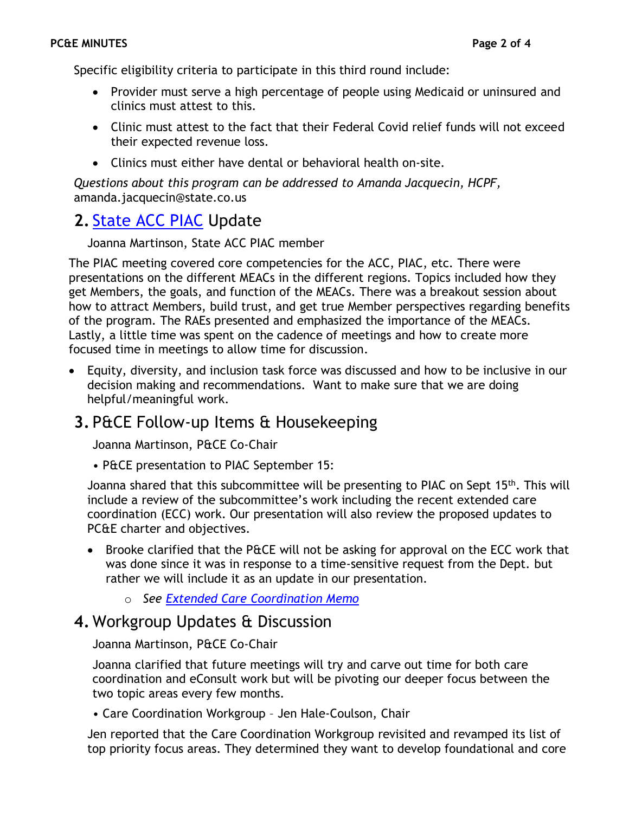Specific eligibility criteria to participate in this third round include:

- Provider must serve a high percentage of people using Medicaid or uninsured and clinics must attest to this.
- Clinic must attest to the fact that their Federal Covid relief funds will not exceed their expected revenue loss.
- Clinics must either have dental or behavioral health on-site.

*Questions about this program can be addressed to Amanda Jacquecin, HCPF,*  amanda.jacquecin@state.co.us

# **2.** [State ACC PIAC](https://hcpf.colorado.gov/accountable-care-collaborative-program-improvement-advisory-committee) Update

Joanna Martinson, State ACC PIAC member

The PIAC meeting covered core competencies for the ACC, PIAC, etc. There were presentations on the different MEACs in the different regions. Topics included how they get Members, the goals, and function of the MEACs. There was a breakout session about how to attract Members, build trust, and get true Member perspectives regarding benefits of the program. The RAEs presented and emphasized the importance of the MEACs. Lastly, a little time was spent on the cadence of meetings and how to create more focused time in meetings to allow time for discussion.

• Equity, diversity, and inclusion task force was discussed and how to be inclusive in our decision making and recommendations. Want to make sure that we are doing helpful/meaningful work.

## **3.** P&CE Follow-up Items & Housekeeping

Joanna Martinson, P&CE Co-Chair

• P&CE presentation to PIAC September 15:

Joanna shared that this subcommittee will be presenting to PIAC on Sept 15<sup>th</sup>. This will include a review of the subcommittee's work including the recent extended care coordination (ECC) work. Our presentation will also review the proposed updates to PC&E charter and objectives.

- Brooke clarified that the P&CE will not be asking for approval on the ECC work that was done since it was in response to a time-sensitive request from the Dept. but rather we will include it as an update in our presentation.
	- o *See [Extended Care Coordination Memo](https://hcpf.colorado.gov/sites/hcpf/files/Provider%20and%20Community%20Experience%20PIAC%20Subcommittee%20Extended%20Care%20Coordination%20Memo%20May%202021.pdf)*

### **4.** Workgroup Updates & Discussion

Joanna Martinson, P&CE Co-Chair

Joanna clarified that future meetings will try and carve out time for both care coordination and eConsult work but will be pivoting our deeper focus between the two topic areas every few months.

• Care Coordination Workgroup – Jen Hale-Coulson, Chair

Jen reported that the Care Coordination Workgroup revisited and revamped its list of top priority focus areas. They determined they want to develop foundational and core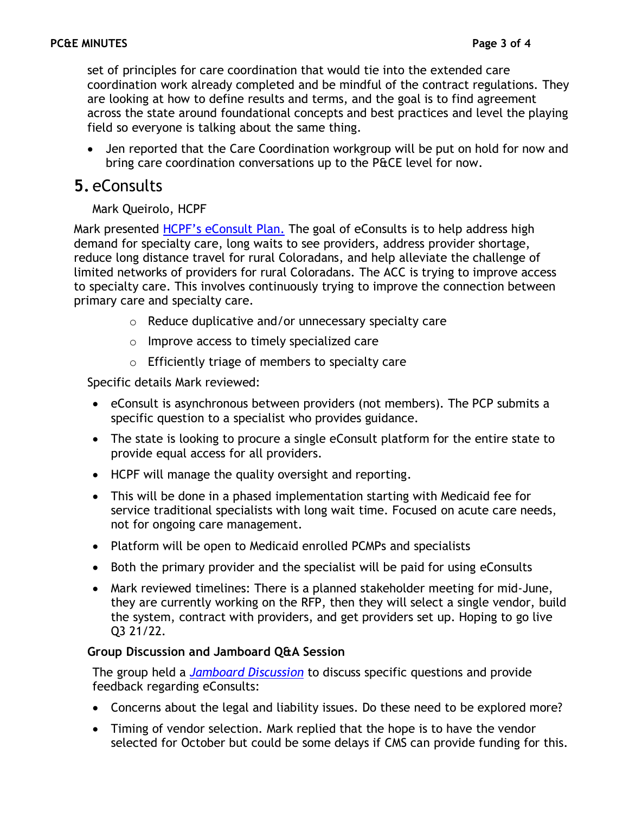set of principles for care coordination that would tie into the extended care coordination work already completed and be mindful of the contract regulations. They are looking at how to define results and terms, and the goal is to find agreement across the state around foundational concepts and best practices and level the playing field so everyone is talking about the same thing.

• Jen reported that the Care Coordination workgroup will be put on hold for now and bring care coordination conversations up to the P&CE level for now.

## **5.** eConsults

#### Mark Queirolo, HCPF

Mark presented [HCPF's eConsult Plan](https://hcpf.colorado.gov/sites/hcpf/files/Provider%20and%20Community%20Experience%20PIAC%20Subcommittee%20eConsults%20PowerPoint%20May%202021.xlsx.pdf). The goal of eConsults is to help address high demand for specialty care, long waits to see providers, address provider shortage, reduce long distance travel for rural Coloradans, and help alleviate the challenge of limited networks of providers for rural Coloradans. The ACC is trying to improve access to specialty care. This involves continuously trying to improve the connection between primary care and specialty care.

- o Reduce duplicative and/or unnecessary specialty care
- o Improve access to timely specialized care
- o Efficiently triage of members to specialty care

Specific details Mark reviewed:

- eConsult is asynchronous between providers (not members). The PCP submits a specific question to a specialist who provides guidance.
- The state is looking to procure a single eConsult platform for the entire state to provide equal access for all providers.
- HCPF will manage the quality oversight and reporting.
- This will be done in a phased implementation starting with Medicaid fee for service traditional specialists with long wait time. Focused on acute care needs, not for ongoing care management.
- Platform will be open to Medicaid enrolled PCMPs and specialists
- Both the primary provider and the specialist will be paid for using eConsults
- Mark reviewed timelines: There is a planned stakeholder meeting for mid-June, they are currently working on the RFP, then they will select a single vendor, build the system, contract with providers, and get providers set up. Hoping to go live Q3 21/22.

#### **Group Discussion and Jamboard Q&A Session**

The group held a *[Jamboard Discussion](https://hcpf.colorado.gov/sites/hcpf/files/Provider%20and%20Community%20Experience%20PIAC%20Subcommittee%20eConsult%20Jamboard%20May%202021.xlsx.pdf)* to discuss specific questions and provide feedback regarding eConsults:

- Concerns about the legal and liability issues. Do these need to be explored more?
- Timing of vendor selection. Mark replied that the hope is to have the vendor selected for October but could be some delays if CMS can provide funding for this.